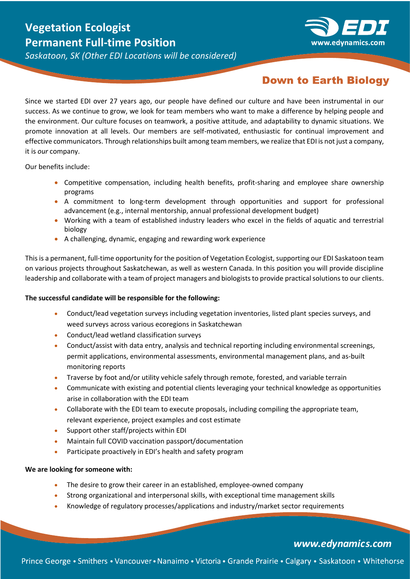# **Vegetation Ecologist Permanent Full-time Position**



*Saskatoon, SK (Other EDI Locations will be considered)*

## **Down to Earth Biology**

Since we started EDI over 27 years ago, our people have defined our culture and have been instrumental in our success. As we continue to grow, we look for team members who want to make a difference by helping people and the environment. Our culture focuses on teamwork, a positive attitude, and adaptability to dynamic situations. We promote innovation at all levels. Our members are self-motivated, enthusiastic for continual improvement and effective communicators. Through relationships built among team members, we realize that EDI is not just a company, it is *our* company.

Our benefits include:

- Competitive compensation, including health benefits, profit-sharing and employee share ownership programs
- A commitment to long-term development through opportunities and support for professional advancement (e.g., internal mentorship, annual professional development budget)
- Working with a team of established industry leaders who excel in the fields of aquatic and terrestrial biology
- A challenging, dynamic, engaging and rewarding work experience

This is a permanent, full-time opportunity for the position of Vegetation Ecologist, supporting our EDI Saskatoon team on various projects throughout Saskatchewan, as well as western Canada. In this position you will provide discipline leadership and collaborate with a team of project managers and biologists to provide practical solutions to our clients.

## **The successful candidate will be responsible for the following:**

- Conduct/lead vegetation surveys including vegetation inventories, listed plant species surveys, and weed surveys across various ecoregions in Saskatchewan
- Conduct/lead wetland classification surveys
- Conduct/assist with data entry, analysis and technical reporting including environmental screenings, permit applications, environmental assessments, environmental management plans, and as-built monitoring reports
- Traverse by foot and/or utility vehicle safely through remote, forested, and variable terrain
- Communicate with existing and potential clients leveraging your technical knowledge as opportunities arise in collaboration with the EDI team
- Collaborate with the EDI team to execute proposals, including compiling the appropriate team, relevant experience, project examples and cost estimate
- Support other staff/projects within EDI
- Maintain full COVID vaccination passport/documentation
- Participate proactively in EDI's health and safety program

#### **We are looking for someone with:**

- The desire to grow their career in an established, employee-owned company
- Strong organizational and interpersonal skills, with exceptional time management skills
- Knowledge of regulatory processes/applications and industry/market sector requirements

## www.edynamics.com

Prince George • Smithers • Vancouver • Nanaimo • Victoria • Grande Prairie • Calgary • Saskatoon • Whitehorse